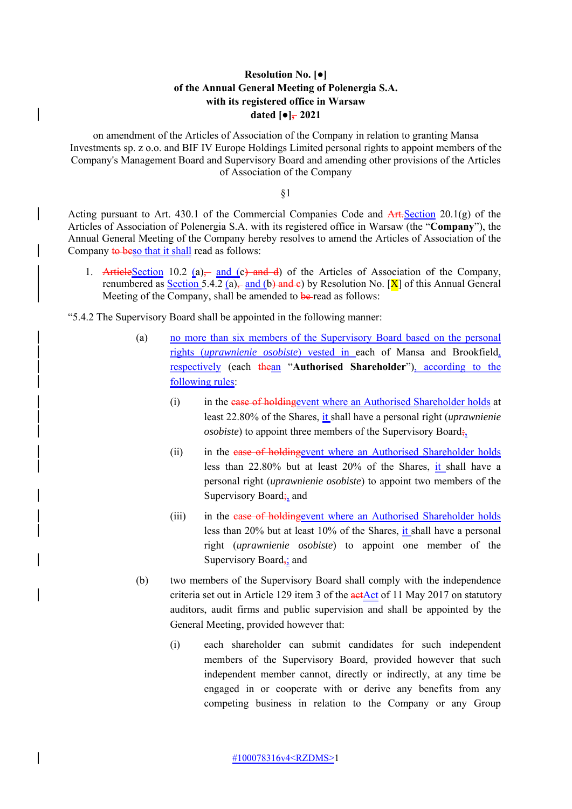## **Resolution No. [●] of the Annual General Meeting of Polenergia S.A. with its registered office in Warsaw** dated  $\lceil \bullet \rceil$ , 2021

on amendment of the Articles of Association of the Company in relation to granting Mansa Investments sp. z o.o. and BIF IV Europe Holdings Limited personal rights to appoint members of the Company's Management Board and Supervisory Board and amending other provisions of the Articles of Association of the Company

§1

Acting pursuant to Art. 430.1 of the Commercial Companies Code and  $\overline{Art\cdot \text{Section 20.1(g)}}$  of the Articles of Association of Polenergia S.A. with its registered office in Warsaw (the "**Company**"), the Annual General Meeting of the Company hereby resolves to amend the Articles of Association of the Company to beso that it shall read as follows:

1. ArticleSection 10.2 (a)— and (c) and d) of the Articles of Association of the Company, renumbered as Section 5.4.2 (a), and (b) and e) by Resolution No.  $[\overline{X}]$  of this Annual General Meeting of the Company, shall be amended to be-read as follows:

"5.4.2 The Supervisory Board shall be appointed in the following manner:

- (a) no more than six members of the Supervisory Board based on the personal rights (*uprawnienie osobiste*) vested in each of Mansa and Brookfield, respectively (each thean "**Authorised Shareholder**"), according to the following rules:
	- (i) in the case of holding event where an Authorised Shareholder holds at least 22.80% of the Shares, it shall have a personal right (*uprawnienie osobiste*) to appoint three members of the Supervisory Board;
	- (ii) in the case of holdingevent where an Authorised Shareholder holds less than 22.80% but at least 20% of the Shares, it shall have a personal right (*uprawnienie osobiste*) to appoint two members of the Supervisory Board; and
	- (iii) in the case of holding event where an Authorised Shareholder holds less than 20% but at least 10% of the Shares, it shall have a personal right (*uprawnienie osobiste*) to appoint one member of the Supervisory Board $\frac{1}{2}$  and
- (b) two members of the Supervisory Board shall comply with the independence criteria set out in Article 129 item 3 of the  $actAct$  of 11 May 2017 on statutory auditors, audit firms and public supervision and shall be appointed by the General Meeting, provided however that:
	- (i) each shareholder can submit candidates for such independent members of the Supervisory Board, provided however that such independent member cannot, directly or indirectly, at any time be engaged in or cooperate with or derive any benefits from any competing business in relation to the Company or any Group

 $\overline{\phantom{a}}$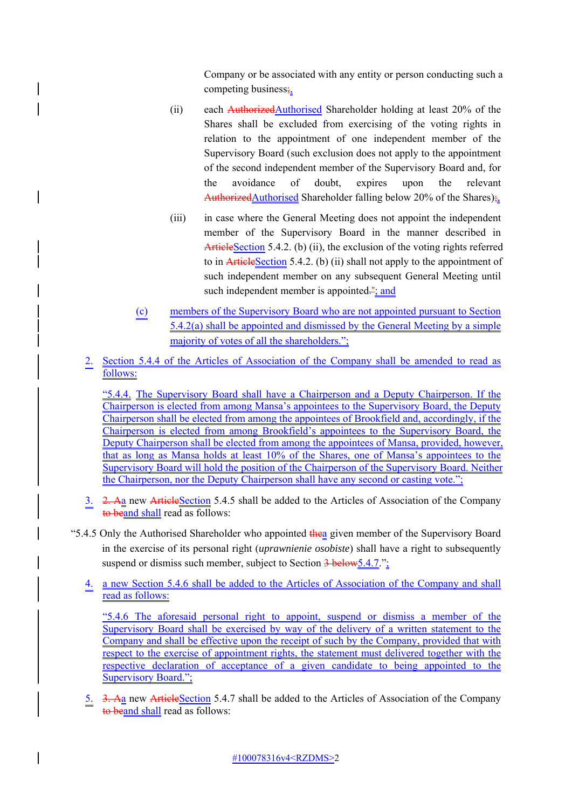Company or be associated with any entity or person conducting such a competing business;

- (ii) each  $\frac{\text{Authorized} \text{Authorised}}{\text{8}}$  Shareholder holding at least 20% of the Shares shall be excluded from exercising of the voting rights in relation to the appointment of one independent member of the Supervisory Board (such exclusion does not apply to the appointment of the second independent member of the Supervisory Board and, for the avoidance of doubt, expires upon the relevant AuthorizedAuthorised Shareholder falling below 20% of the Shares);
- (iii) in case where the General Meeting does not appoint the independent member of the Supervisory Board in the manner described in ArticleSection 5.4.2. (b) (ii), the exclusion of the voting rights referred to in ArticleSection 5.4.2. (b) (ii) shall not apply to the appointment of such independent member on any subsequent General Meeting until such independent member is appointed $\frac{3}{2}$ ; and
- (c) members of the Supervisory Board who are not appointed pursuant to Section 5.4.2(a) shall be appointed and dismissed by the General Meeting by a simple majority of votes of all the shareholders.";
- 2. Section 5.4.4 of the Articles of Association of the Company shall be amended to read as follows:

"5.4.4. The Supervisory Board shall have a Chairperson and a Deputy Chairperson. If the Chairperson is elected from among Mansa's appointees to the Supervisory Board, the Deputy Chairperson shall be elected from among the appointees of Brookfield and, accordingly, if the Chairperson is elected from among Brookfield's appointees to the Supervisory Board, the Deputy Chairperson shall be elected from among the appointees of Mansa, provided, however, that as long as Mansa holds at least 10% of the Shares, one of Mansa's appointees to the Supervisory Board will hold the position of the Chairperson of the Supervisory Board. Neither the Chairperson, nor the Deputy Chairperson shall have any second or casting vote.";

- 3. 2. A<sub>a</sub> new ArticleSection 5.4.5 shall be added to the Articles of Association of the Company to beand shall read as follows:
- "5.4.5 Only the Authorised Shareholder who appointed thea given member of the Supervisory Board in the exercise of its personal right (*uprawnienie osobiste*) shall have a right to subsequently suspend or dismiss such member, subject to Section 3 below 5.4.7.";
	- 4. a new Section 5.4.6 shall be added to the Articles of Association of the Company and shall read as follows:

"5.4.6 The aforesaid personal right to appoint, suspend or dismiss a member of the Supervisory Board shall be exercised by way of the delivery of a written statement to the Company and shall be effective upon the receipt of such by the Company, provided that with respect to the exercise of appointment rights, the statement must delivered together with the respective declaration of acceptance of a given candidate to being appointed to the Supervisory Board.";

5. 3. Aa new ArticleSection 5.4.7 shall be added to the Articles of Association of the Company to beand shall read as follows: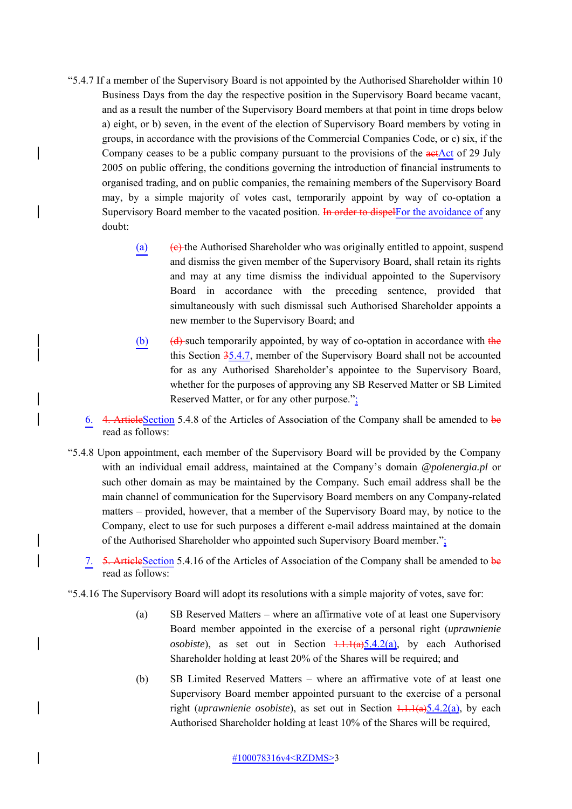- "5.4.7 If a member of the Supervisory Board is not appointed by the Authorised Shareholder within 10 Business Days from the day the respective position in the Supervisory Board became vacant, and as a result the number of the Supervisory Board members at that point in time drops below a) eight, or b) seven, in the event of the election of Supervisory Board members by voting in groups, in accordance with the provisions of the Commercial Companies Code, or c) six, if the Company ceases to be a public company pursuant to the provisions of the actAct of 29 July 2005 on public offering, the conditions governing the introduction of financial instruments to organised trading, and on public companies, the remaining members of the Supervisory Board may, by a simple majority of votes cast, temporarily appoint by way of co-optation a Supervisory Board member to the vacated position. In order to dispelf or the avoidance of any doubt:
	- (a)  $\left( \theta \right)$  the Authorised Shareholder who was originally entitled to appoint, suspend and dismiss the given member of the Supervisory Board, shall retain its rights and may at any time dismiss the individual appointed to the Supervisory Board in accordance with the preceding sentence, provided that simultaneously with such dismissal such Authorised Shareholder appoints a new member to the Supervisory Board; and
	- (b)  $(d)$ -such temporarily appointed, by way of co-optation in accordance with the this Section 35.4.7, member of the Supervisory Board shall not be accounted for as any Authorised Shareholder's appointee to the Supervisory Board, whether for the purposes of approving any SB Reserved Matter or SB Limited Reserved Matter, or for any other purpose.";
	- 6. 4. ArticleSection 5.4.8 of the Articles of Association of the Company shall be amended to be read as follows:
- "5.4.8 Upon appointment, each member of the Supervisory Board will be provided by the Company with an individual email address, maintained at the Company's domain *@polenergia.pl* or such other domain as may be maintained by the Company*.* Such email address shall be the main channel of communication for the Supervisory Board members on any Company-related matters – provided, however, that a member of the Supervisory Board may, by notice to the Company, elect to use for such purposes a different e-mail address maintained at the domain of the Authorised Shareholder who appointed such Supervisory Board member.";
	- 7. 5. ArticleSection 5.4.16 of the Articles of Association of the Company shall be amended to be read as follows:
- "5.4.16 The Supervisory Board will adopt its resolutions with a simple majority of votes, save for:
	- (a) SB Reserved Matters where an affirmative vote of at least one Supervisory Board member appointed in the exercise of a personal right (*uprawnienie osobiste*), as set out in Section  $1.1.1(a)5.4.2(a)$ , by each Authorised Shareholder holding at least 20% of the Shares will be required; and
	- (b) SB Limited Reserved Matters where an affirmative vote of at least one Supervisory Board member appointed pursuant to the exercise of a personal right (*uprawnienie osobiste*), as set out in Section  $1.1.1(a)5.4.2(a)$ , by each Authorised Shareholder holding at least 10% of the Shares will be required,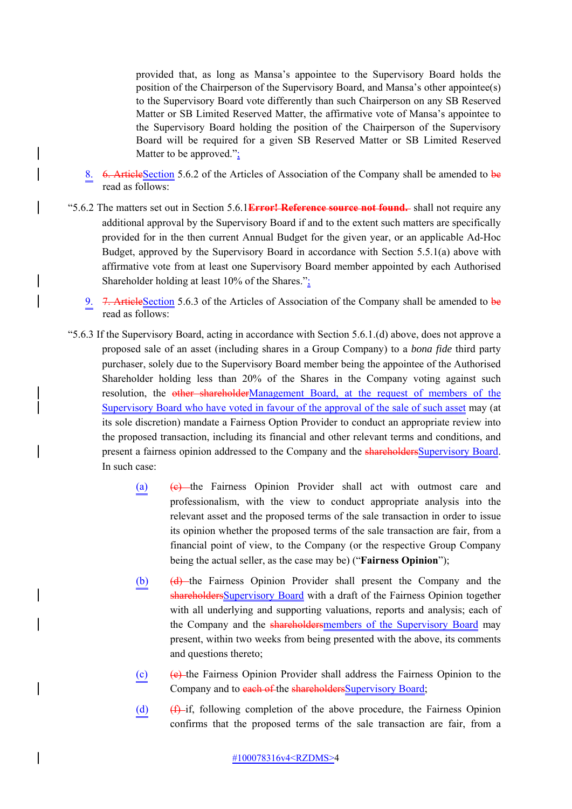provided that, as long as Mansa's appointee to the Supervisory Board holds the position of the Chairperson of the Supervisory Board, and Mansa's other appointee(s) to the Supervisory Board vote differently than such Chairperson on any SB Reserved Matter or SB Limited Reserved Matter, the affirmative vote of Mansa's appointee to the Supervisory Board holding the position of the Chairperson of the Supervisory Board will be required for a given SB Reserved Matter or SB Limited Reserved Matter to be approved.";

- 8. 6. ArticleSection 5.6.2 of the Articles of Association of the Company shall be amended to be read as follows:
- "5.6.2 The matters set out in Section 5.6.1**Error! Reference source not found.** shall not require any additional approval by the Supervisory Board if and to the extent such matters are specifically provided for in the then current Annual Budget for the given year, or an applicable Ad-Hoc Budget, approved by the Supervisory Board in accordance with Section 5.5.1(a) above with affirmative vote from at least one Supervisory Board member appointed by each Authorised Shareholder holding at least 10% of the Shares.";
	- 9. 7. ArticleSection 5.6.3 of the Articles of Association of the Company shall be amended to be read as follows:
- "5.6.3 If the Supervisory Board, acting in accordance with Section 5.6.1.(d) above, does not approve a proposed sale of an asset (including shares in a Group Company) to a *bona fide* third party purchaser, solely due to the Supervisory Board member being the appointee of the Authorised Shareholder holding less than 20% of the Shares in the Company voting against such resolution, the other shareholderManagement Board, at the request of members of the Supervisory Board who have voted in favour of the approval of the sale of such asset may (at its sole discretion) mandate a Fairness Option Provider to conduct an appropriate review into the proposed transaction, including its financial and other relevant terms and conditions, and present a fairness opinion addressed to the Company and the shareholdersSupervisory Board. In such case:
	- (a)  $(e)$  the Fairness Opinion Provider shall act with outmost care and professionalism, with the view to conduct appropriate analysis into the relevant asset and the proposed terms of the sale transaction in order to issue its opinion whether the proposed terms of the sale transaction are fair, from a financial point of view, to the Company (or the respective Group Company being the actual seller, as the case may be) ("**Fairness Opinion**");
	- (b) (d) the Fairness Opinion Provider shall present the Company and the shareholdersSupervisory Board with a draft of the Fairness Opinion together with all underlying and supporting valuations, reports and analysis; each of the Company and the shareholdersmembers of the Supervisory Board may present, within two weeks from being presented with the above, its comments and questions thereto;
	- (c) (e) the Fairness Opinion Provider shall address the Fairness Opinion to the Company and to each of the shareholders Supervisory Board;
	- (d)  $(f)$ -if, following completion of the above procedure, the Fairness Opinion confirms that the proposed terms of the sale transaction are fair, from a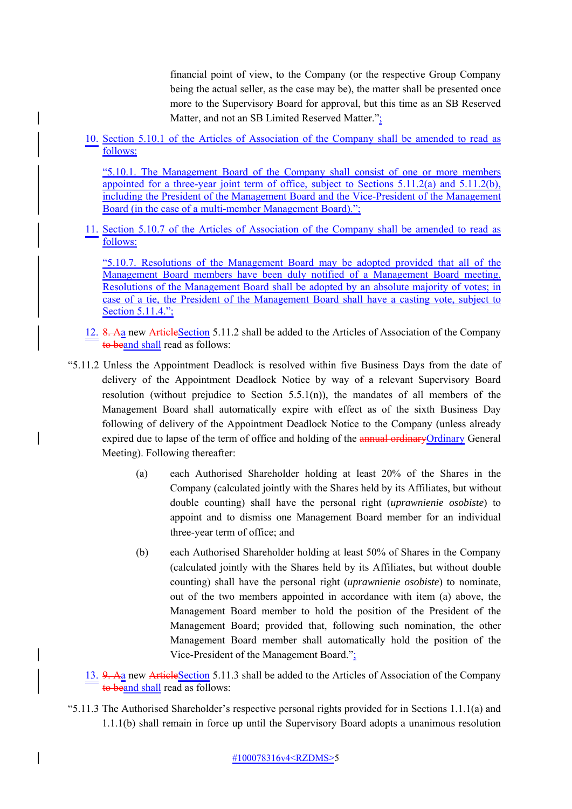financial point of view, to the Company (or the respective Group Company being the actual seller, as the case may be), the matter shall be presented once more to the Supervisory Board for approval, but this time as an SB Reserved Matter, and not an SB Limited Reserved Matter.";

10. Section 5.10.1 of the Articles of Association of the Company shall be amended to read as follows:

"5.10.1. The Management Board of the Company shall consist of one or more members appointed for a three-year joint term of office, subject to Sections 5.11.2(a) and 5.11.2(b), including the President of the Management Board and the Vice-President of the Management Board (in the case of a multi-member Management Board).";

11. Section 5.10.7 of the Articles of Association of the Company shall be amended to read as follows:

"5.10.7. Resolutions of the Management Board may be adopted provided that all of the Management Board members have been duly notified of a Management Board meeting. Resolutions of the Management Board shall be adopted by an absolute majority of votes; in case of a tie, the President of the Management Board shall have a casting vote, subject to Section 5.11.4.";

- 12. 8. Aa new ArticleSection 5.11.2 shall be added to the Articles of Association of the Company to beand shall read as follows:
- "5.11.2 Unless the Appointment Deadlock is resolved within five Business Days from the date of delivery of the Appointment Deadlock Notice by way of a relevant Supervisory Board resolution (without prejudice to Section  $5.5.1(n)$ ), the mandates of all members of the Management Board shall automatically expire with effect as of the sixth Business Day following of delivery of the Appointment Deadlock Notice to the Company (unless already expired due to lapse of the term of office and holding of the annual ordinary Ordinary General Meeting). Following thereafter:
	- (a) each Authorised Shareholder holding at least 20% of the Shares in the Company (calculated jointly with the Shares held by its Affiliates, but without double counting) shall have the personal right (*uprawnienie osobiste*) to appoint and to dismiss one Management Board member for an individual three-year term of office; and
	- (b) each Authorised Shareholder holding at least 50% of Shares in the Company (calculated jointly with the Shares held by its Affiliates, but without double counting) shall have the personal right (*uprawnienie osobiste*) to nominate, out of the two members appointed in accordance with item (a) above, the Management Board member to hold the position of the President of the Management Board; provided that, following such nomination, the other Management Board member shall automatically hold the position of the Vice-President of the Management Board.";
	- 13. 9. Aa new ArticleSection 5.11.3 shall be added to the Articles of Association of the Company to beand shall read as follows:
- "5.11.3 The Authorised Shareholder's respective personal rights provided for in Sections 1.1.1(a) and 1.1.1(b) shall remain in force up until the Supervisory Board adopts a unanimous resolution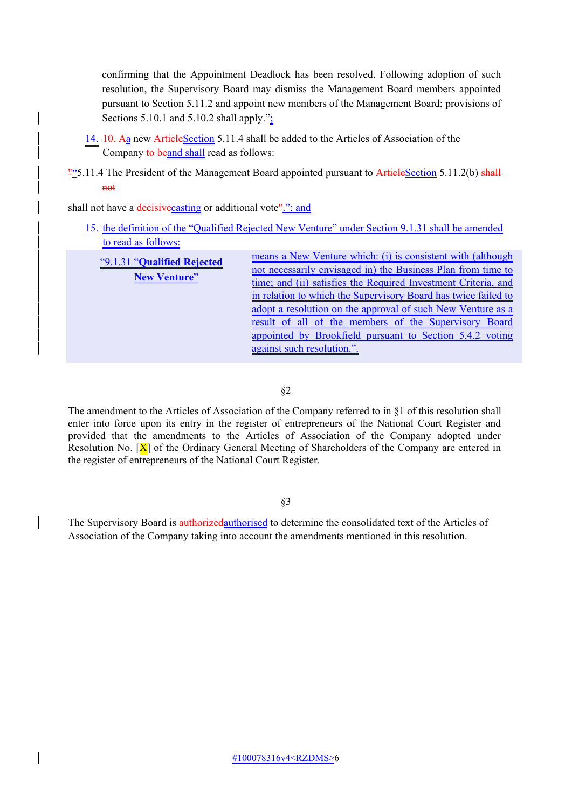confirming that the Appointment Deadlock has been resolved. Following adoption of such resolution, the Supervisory Board may dismiss the Management Board members appointed pursuant to Section 5.11.2 and appoint new members of the Management Board; provisions of Sections  $5.10.1$  and  $5.10.2$  shall apply." $\frac{1}{2}$ 

- 14. 10. Aa new ArticleSection 5.11.4 shall be added to the Articles of Association of the Company to beand shall read as follows:
- $\frac{\text{m}}{2}$  5.11.4 The President of the Management Board appointed pursuant to ArticleSection 5.11.2(b) shall not

shall not have a decisive casting or additional vote"."; and

| 15. the definition of the "Qualified Rejected New Venture" under Section 9.1.31 shall be amended |                                                                |
|--------------------------------------------------------------------------------------------------|----------------------------------------------------------------|
| to read as follows:                                                                              |                                                                |
| "9.1.31 "Qualified Rejected"<br><b>New Venture"</b>                                              | means a New Venture which: (i) is consistent with (although    |
|                                                                                                  | not necessarily envisaged in) the Business Plan from time to   |
|                                                                                                  | time; and (ii) satisfies the Required Investment Criteria, and |
|                                                                                                  | in relation to which the Supervisory Board has twice failed to |
|                                                                                                  | adopt a resolution on the approval of such New Venture as a    |
|                                                                                                  | result of all of the members of the Supervisory Board          |
|                                                                                                  | appointed by Brookfield pursuant to Section 5.4.2 voting       |
|                                                                                                  | against such resolution.".                                     |

§2

The amendment to the Articles of Association of the Company referred to in §1 of this resolution shall enter into force upon its entry in the register of entrepreneurs of the National Court Register and provided that the amendments to the Articles of Association of the Company adopted under Resolution No.  $[X]$  of the Ordinary General Meeting of Shareholders of the Company are entered in the register of entrepreneurs of the National Court Register.

§3

The Supervisory Board is authorizedauthorised to determine the consolidated text of the Articles of Association of the Company taking into account the amendments mentioned in this resolution.